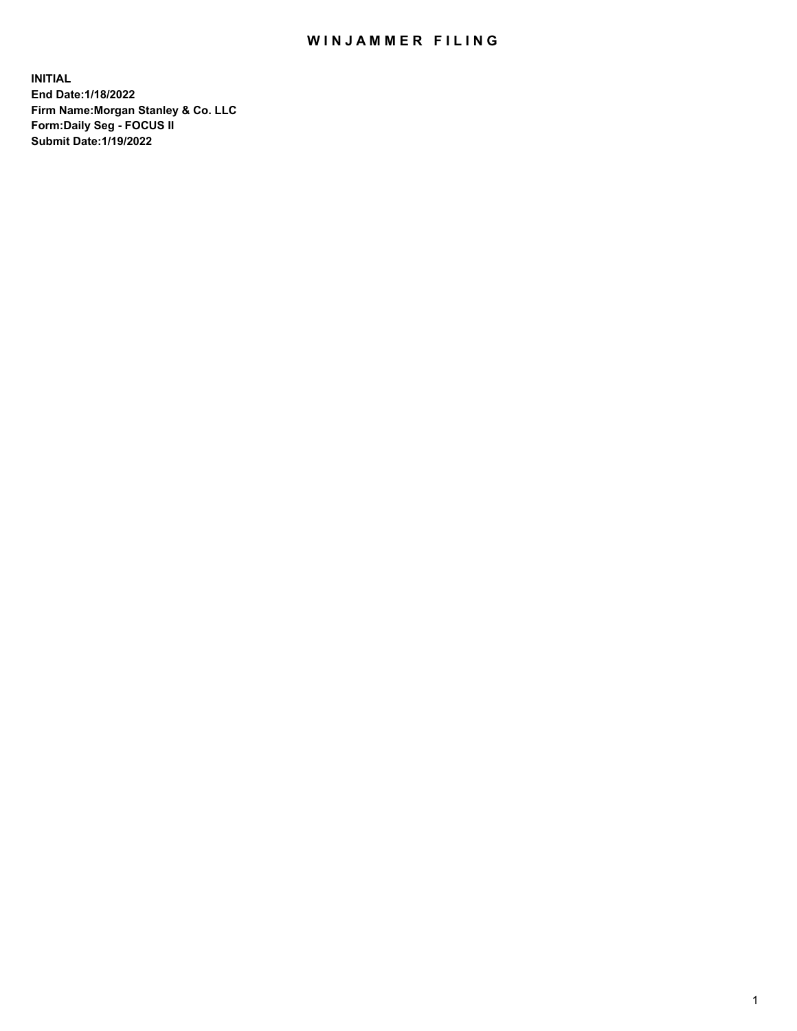## WIN JAMMER FILING

**INITIAL End Date:1/18/2022 Firm Name:Morgan Stanley & Co. LLC Form:Daily Seg - FOCUS II Submit Date:1/19/2022**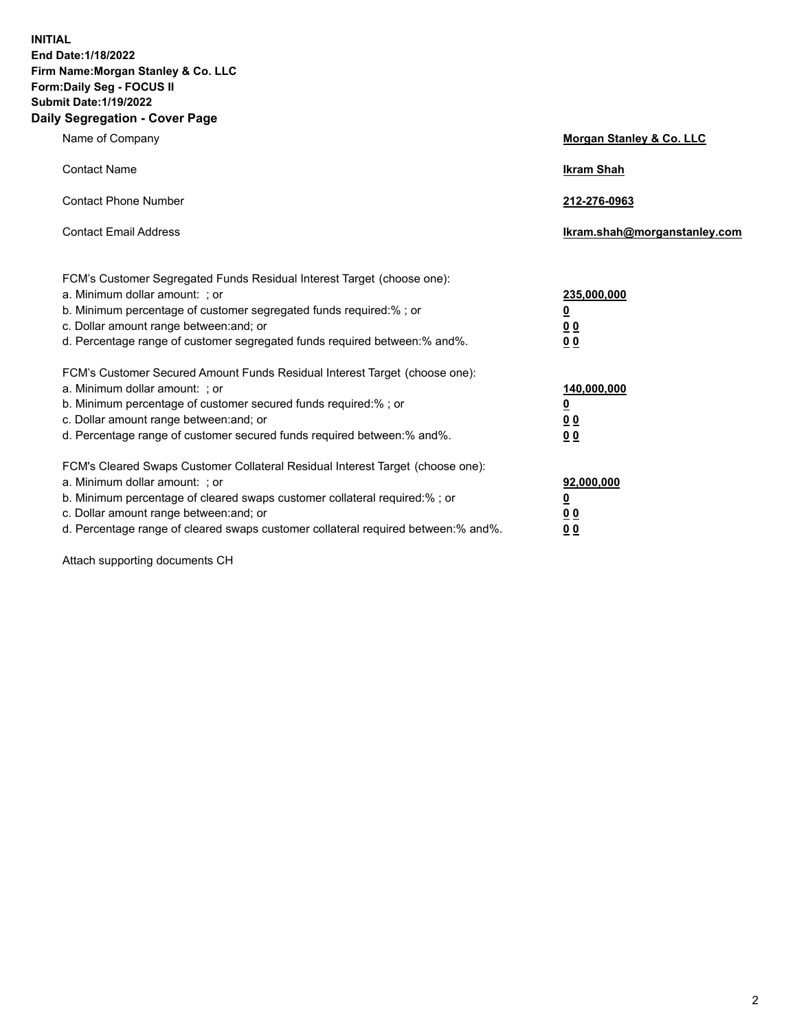**INITIAL End Date:1/18/2022 Firm Name:Morgan Stanley & Co. LLC Form:Daily Seg - FOCUS II Submit Date:1/19/2022 Daily Segregation - Cover Page**

| Name of Company                                                                                                                                                                                                                                                                                                                | Morgan Stanley & Co. LLC                               |
|--------------------------------------------------------------------------------------------------------------------------------------------------------------------------------------------------------------------------------------------------------------------------------------------------------------------------------|--------------------------------------------------------|
| <b>Contact Name</b>                                                                                                                                                                                                                                                                                                            | <b>Ikram Shah</b>                                      |
| <b>Contact Phone Number</b>                                                                                                                                                                                                                                                                                                    | 212-276-0963                                           |
| <b>Contact Email Address</b>                                                                                                                                                                                                                                                                                                   | Ikram.shah@morganstanley.com                           |
| FCM's Customer Segregated Funds Residual Interest Target (choose one):<br>a. Minimum dollar amount: : or<br>b. Minimum percentage of customer segregated funds required:%; or<br>c. Dollar amount range between: and; or<br>d. Percentage range of customer segregated funds required between:% and%.                          | 235,000,000<br><u>0</u><br>0 Q<br><u>00</u>            |
| FCM's Customer Secured Amount Funds Residual Interest Target (choose one):<br>a. Minimum dollar amount: ; or<br>b. Minimum percentage of customer secured funds required:%; or<br>c. Dollar amount range between: and; or<br>d. Percentage range of customer secured funds required between:% and%.                            | 140,000,000<br><u>0</u><br><u>00</u><br>0 <sub>0</sub> |
| FCM's Cleared Swaps Customer Collateral Residual Interest Target (choose one):<br>a. Minimum dollar amount: ; or<br>b. Minimum percentage of cleared swaps customer collateral required:% ; or<br>c. Dollar amount range between: and; or<br>d. Percentage range of cleared swaps customer collateral required between:% and%. | 92,000,000<br><u>0</u><br><u>00</u><br>0 <sub>0</sub>  |

Attach supporting documents CH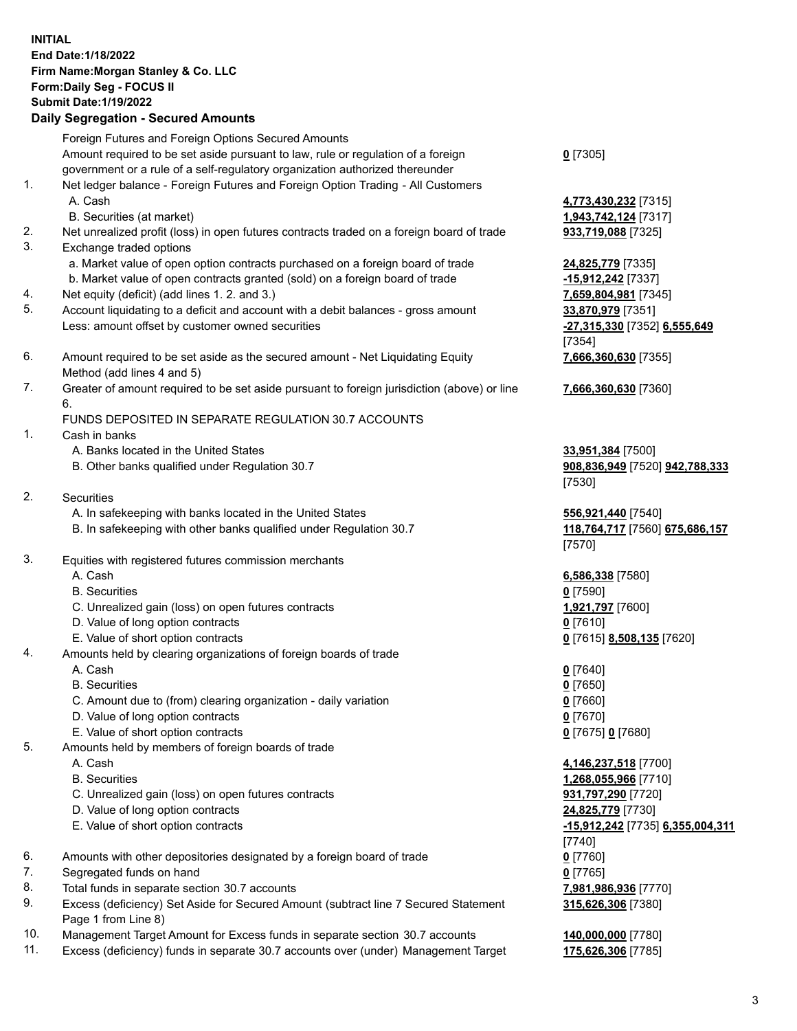## **INITIAL End Date:1/18/2022 Firm Name:Morgan Stanley & Co. LLC Form:Daily Seg - FOCUS II Submit Date:1/19/2022 Daily Segregation - Secured Amounts** Foreign Futures and Foreign Options Secured Amounts Amount required to be set aside pursuant to law, rule or regulation of a foreign government or a rule of a self-regulatory organization authorized thereunder

- 1. Net ledger balance Foreign Futures and Foreign Option Trading All Customers A. Cash **4,773,430,232** [7315]
	- B. Securities (at market) **1,943,742,124** [7317]
- 2. Net unrealized profit (loss) in open futures contracts traded on a foreign board of trade **933,719,088** [7325]
- 3. Exchange traded options
	- a. Market value of open option contracts purchased on a foreign board of trade **24,825,779** [7335]
	- b. Market value of open contracts granted (sold) on a foreign board of trade **-15,912,242** [7337]
- 4. Net equity (deficit) (add lines 1. 2. and 3.) **7,659,804,981** [7345]
- 5. Account liquidating to a deficit and account with a debit balances gross amount **33,870,979** [7351] Less: amount offset by customer owned securities **-27,315,330** [7352] **6,555,649**
- 6. Amount required to be set aside as the secured amount Net Liquidating Equity Method (add lines 4 and 5)
- 7. Greater of amount required to be set aside pursuant to foreign jurisdiction (above) or line 6.

## FUNDS DEPOSITED IN SEPARATE REGULATION 30.7 ACCOUNTS

- 1. Cash in banks
	- A. Banks located in the United States **33,951,384** [7500]
	- B. Other banks qualified under Regulation 30.7 **908,836,949** [7520] **942,788,333**
- 2. Securities
	- A. In safekeeping with banks located in the United States **556,921,440** [7540]
	- B. In safekeeping with other banks qualified under Regulation 30.7 **118,764,717** [7560] **675,686,157**
- 3. Equities with registered futures commission merchants
	-
	- B. Securities **0** [7590]
	- C. Unrealized gain (loss) on open futures contracts **1,921,797** [7600]
	- D. Value of long option contracts **0** [7610]
	- E. Value of short option contracts **0** [7615] **8,508,135** [7620]
- 4. Amounts held by clearing organizations of foreign boards of trade
	-
	- B. Securities **0** [7650]
	- C. Amount due to (from) clearing organization daily variation **0** [7660]
	- D. Value of long option contracts **0** [7670]
	- E. Value of short option contracts **0** [7675] **0** [7680]
- 5. Amounts held by members of foreign boards of trade
	-
	-
	- C. Unrealized gain (loss) on open futures contracts **931,797,290** [7720]
	- D. Value of long option contracts **24,825,779** [7730]
	- E. Value of short option contracts **-15,912,242** [7735] **6,355,004,311**
- 6. Amounts with other depositories designated by a foreign board of trade **0** [7760]
- 7. Segregated funds on hand **0** [7765]
- 8. Total funds in separate section 30.7 accounts **7,981,986,936** [7770]
- 9. Excess (deficiency) Set Aside for Secured Amount (subtract line 7 Secured Statement Page 1 from Line 8)
- 10. Management Target Amount for Excess funds in separate section 30.7 accounts **140,000,000** [7780]
- 11. Excess (deficiency) funds in separate 30.7 accounts over (under) Management Target **175,626,306** [7785]

**0** [7305]

[7354] **7,666,360,630** [7355]

**7,666,360,630** [7360]

[7530]

[7570]

A. Cash **6,586,338** [7580]

A. Cash **0** [7640]

 A. Cash **4,146,237,518** [7700] B. Securities **1,268,055,966** [7710] [7740] **315,626,306** [7380]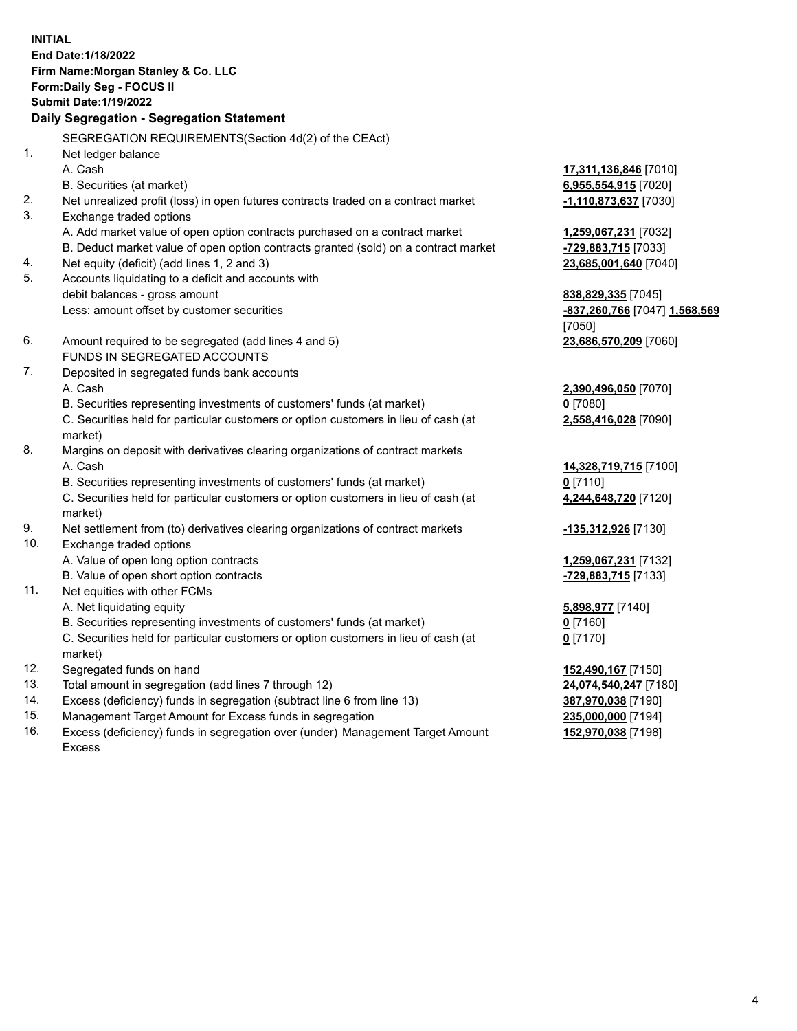**INITIAL End Date:1/18/2022 Firm Name:Morgan Stanley & Co. LLC Form:Daily Seg - FOCUS II Submit Date:1/19/2022 Daily Segregation - Segregation Statement** SEGREGATION REQUIREMENTS(Section 4d(2) of the CEAct) 1. Net ledger balance A. Cash **17,311,136,846** [7010] B. Securities (at market) **6,955,554,915** [7020] 2. Net unrealized profit (loss) in open futures contracts traded on a contract market **-1,110,873,637** [7030] 3. Exchange traded options A. Add market value of open option contracts purchased on a contract market **1,259,067,231** [7032] B. Deduct market value of open option contracts granted (sold) on a contract market **-729,883,715** [7033] 4. Net equity (deficit) (add lines 1, 2 and 3) **23,685,001,640** [7040] 5. Accounts liquidating to a deficit and accounts with debit balances - gross amount **838,829,335** [7045] Less: amount offset by customer securities **-837,260,766** [7047] **1,568,569** [7050] 6. Amount required to be segregated (add lines 4 and 5) **23,686,570,209** [7060] FUNDS IN SEGREGATED ACCOUNTS 7. Deposited in segregated funds bank accounts A. Cash **2,390,496,050** [7070] B. Securities representing investments of customers' funds (at market) **0** [7080] C. Securities held for particular customers or option customers in lieu of cash (at market) **2,558,416,028** [7090] 8. Margins on deposit with derivatives clearing organizations of contract markets A. Cash **14,328,719,715** [7100] B. Securities representing investments of customers' funds (at market) **0** [7110] C. Securities held for particular customers or option customers in lieu of cash (at market) **4,244,648,720** [7120] 9. Net settlement from (to) derivatives clearing organizations of contract markets **-135,312,926** [7130] 10. Exchange traded options A. Value of open long option contracts **1,259,067,231** [7132] B. Value of open short option contracts **-729,883,715** [7133] 11. Net equities with other FCMs A. Net liquidating equity **5,898,977** [7140] B. Securities representing investments of customers' funds (at market) **0** [7160] C. Securities held for particular customers or option customers in lieu of cash (at market) **0** [7170] 12. Segregated funds on hand **152,490,167** [7150] 13. Total amount in segregation (add lines 7 through 12) **24,074,540,247** [7180] 14. Excess (deficiency) funds in segregation (subtract line 6 from line 13) **387,970,038** [7190]

- 15. Management Target Amount for Excess funds in segregation **235,000,000** [7194]
- 16. Excess (deficiency) funds in segregation over (under) Management Target Amount Excess

**152,970,038** [7198]